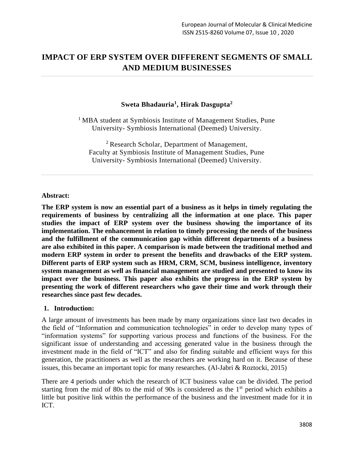# **IMPACT OF ERP SYSTEM OVER DIFFERENT SEGMENTS OF SMALL AND MEDIUM BUSINESSES**

## **Sweta Bhadauria<sup>1</sup> , Hirak Dasgupta<sup>2</sup>**

<sup>1</sup> MBA student at Symbiosis Institute of Management Studies, Pune University- Symbiosis International (Deemed) University.

 $2$  Research Scholar, Department of Management, Faculty at Symbiosis Institute of Management Studies, Pune University- Symbiosis International (Deemed) University.

#### **Abstract:**

**The ERP system is now an essential part of a business as it helps in timely regulating the requirements of business by centralizing all the information at one place. This paper studies the impact of ERP system over the business showing the importance of its implementation. The enhancement in relation to timely processing the needs of the business and the fulfillment of the communication gap within different departments of a business are also exhibited in this paper. A comparison is made between the traditional method and modern ERP system in order to present the benefits and drawbacks of the ERP system. Different parts of ERP system such as HRM, CRM, SCM, business intelligence, inventory system management as well as financial management are studied and presented to know its impact over the business. This paper also exhibits the progress in the ERP system by presenting the work of different researchers who gave their time and work through their researches since past few decades.**

#### **1. Introduction:**

A large amount of investments has been made by many organizations since last two decades in the field of "Information and communication technologies" in order to develop many types of "information systems" for supporting various process and functions of the business. For the significant issue of understanding and accessing generated value in the business through the investment made in the field of "ICT" and also for finding suitable and efficient ways for this generation, the practitioners as well as the researchers are working hard on it. Because of these issues, this became an important topic for many researches. (Al-Jabri & Roztocki, 2015)

There are 4 periods under which the research of ICT business value can be divided. The period starting from the mid of 80s to the mid of 90s is considered as the  $1<sup>st</sup>$  period which exhibits a little but positive link within the performance of the business and the investment made for it in ICT.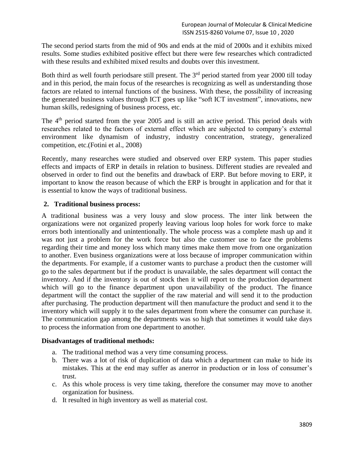The second period starts from the mid of 90s and ends at the mid of 2000s and it exhibits mixed results. Some studies exhibited positive effect but there were few researches which contradicted with these results and exhibited mixed results and doubts over this investment.

Both third as well fourth periodsare still present. The  $3<sup>rd</sup>$  period started from year 2000 till today and in this period, the main focus of the researches is recognizing as well as understanding those factors are related to internal functions of the business. With these, the possibility of increasing the generated business values through ICT goes up like "soft ICT investment", innovations, new human skills, redesigning of business process, etc.

The 4<sup>th</sup> period started from the year 2005 and is still an active period. This period deals with researches related to the factors of external effect which are subjected to company's external environment like dynamism of industry, industry concentration, strategy, generalized competition, etc.(Fotini et al., 2008)

Recently, many researches were studied and observed over ERP system. This paper studies effects and impacts of ERP in details in relation to business. Different studies are revealed and observed in order to find out the benefits and drawback of ERP. But before moving to ERP, it important to know the reason because of which the ERP is brought in application and for that it is essential to know the ways of traditional business.

# **2. Traditional business process:**

A traditional business was a very lousy and slow process. The inter link between the organizations were not organized properly leaving various loop holes for work force to make errors both intentionally and unintentionally. The whole process was a complete mash up and it was not just a problem for the work force but also the customer use to face the problems regarding their time and money loss which many times make them move from one organization to another. Even business organizations were at loss because of improper communication within the departments. For example, if a customer wants to purchase a product then the customer will go to the sales department but if the product is unavailable, the sales department will contact the inventory. And if the inventory is out of stock then it will report to the production department which will go to the finance department upon unavailability of the product. The finance department will the contact the supplier of the raw material and will send it to the production after purchasing. The production department will then manufacture the product and send it to the inventory which will supply it to the sales department from where the consumer can purchase it. The communication gap among the departments was so high that sometimes it would take days to process the information from one department to another.

## **Disadvantages of traditional methods:**

- a. The traditional method was a very time consuming process.
- b. There was a lot of risk of duplication of data which a department can make to hide its mistakes. This at the end may suffer as anerror in production or in loss of consumer's trust.
- c. As this whole process is very time taking, therefore the consumer may move to another organization for business.
- d. It resulted in high inventory as well as material cost.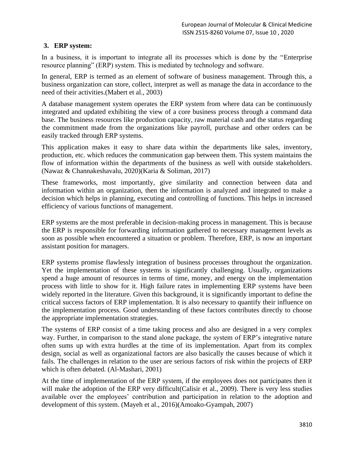# **3. ERP system:**

In a business, it is important to integrate all its processes which is done by the "Enterprise resource planning" (ERP) system. This is mediated by technology and software.

In general, ERP is termed as an element of software of business management. Through this, a business organization can store, collect, interpret as well as manage the data in accordance to the need of their activities.(Mabert et al., 2003)

A database management system operates the ERP system from where data can be continuously integrated and updated exhibiting the view of a core business process through a command data base. The business resources like production capacity, raw material cash and the status regarding the commitment made from the organizations like payroll, purchase and other orders can be easily tracked through ERP systems.

This application makes it easy to share data within the departments like sales, inventory, production, etc. which reduces the communication gap between them. This system maintains the flow of information within the departments of the business as well with outside stakeholders. (Nawaz & Channakeshavalu, 2020)(Karia & Soliman, 2017)

These frameworks, most importantly, give similarity and connection between data and information within an organization, then the information is analyzed and integrated to make a decision which helps in planning, executing and controlling of functions. This helps in increased efficiency of various functions of management.

ERP systems are the most preferable in decision-making process in management. This is because the ERP is responsible for forwarding information gathered to necessary management levels as soon as possible when encountered a situation or problem. Therefore, ERP, is now an important assistant position for managers.

ERP systems promise flawlessly integration of business processes throughout the organization. Yet the implementation of these systems is significantly challenging. Usually, organizations spend a huge amount of resources in terms of time, money, and energy on the implementation process with little to show for it. High failure rates in implementing ERP systems have been widely reported in the literature. Given this background, it is significantly important to define the critical success factors of ERP implementation. It is also necessary to quantify their influence on the implementation process. Good understanding of these factors contributes directly to choose the appropriate implementation strategies.

The systems of ERP consist of a time taking process and also are designed in a very complex way. Further, in comparison to the stand alone package, the system of ERP's integrative nature often sums up with extra hurdles at the time of its implementation. Apart from its complex design, social as well as organizational factors are also basically the causes because of which it fails. The challenges in relation to the user are serious factors of risk within the projects of ERP which is often debated. (Al-Mashari, 2001)

At the time of implementation of the ERP system, if the employees does not participates then it will make the adoption of the ERP very difficult (Calisir et al., 2009). There is very less studies available over the employees' contribution and participation in relation to the adoption and development of this system. (Mayeh et al., 2016)(Amoako-Gyampah, 2007)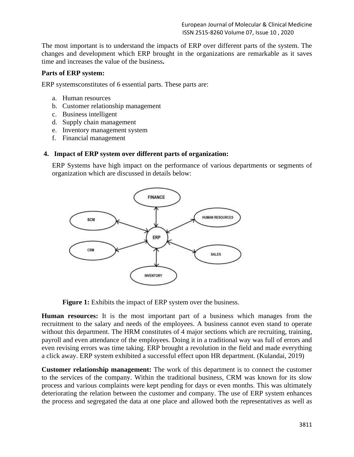European Journal of Molecular & Clinical Medicine ISSN 2515-8260 Volume 07, Issue 10 , 2020

The most important is to understand the impacts of ERP over different parts of the system. The changes and development which ERP brought in the organizations are remarkable as it saves time and increases the value of the business**.** 

#### **Parts of ERP system:**

ERP systemsconstitutes of 6 essential parts. These parts are:

- a. Human resources
- b. Customer relationship management
- c. Business intelligent
- d. Supply chain management
- e. Inventory management system
- f. Financial management

## **4. Impact of ERP system over different parts of organization:**

ERP Systems have high impact on the performance of various departments or segments of organization which are discussed in details below:



**Figure 1:** Exhibits the impact of ERP system over the business.

**Human resources:** It is the most important part of a business which manages from the recruitment to the salary and needs of the employees. A business cannot even stand to operate without this department. The HRM constitutes of 4 major sections which are recruiting, training, payroll and even attendance of the employees. Doing it in a traditional way was full of errors and even revising errors was time taking. ERP brought a revolution in the field and made everything a click away. ERP system exhibited a successful effect upon HR department. (Kulandai, 2019)

**Customer relationship management:** The work of this department is to connect the customer to the services of the company. Within the traditional business, CRM was known for its slow process and various complaints were kept pending for days or even months. This was ultimately deteriorating the relation between the customer and company. The use of ERP system enhances the process and segregated the data at one place and allowed both the representatives as well as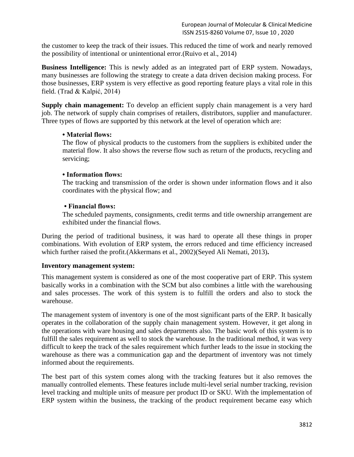the customer to keep the track of their issues. This reduced the time of work and nearly removed the possibility of intentional or unintentional error.(Ruivo et al., 2014)

**Business Intelligence:** This is newly added as an integrated part of ERP system. Nowadays, many businesses are following the strategy to create a data driven decision making process. For those businesses, ERP system is very effective as good reporting feature plays a vital role in this field. (Trad & Kalpić, 2014)

**Supply chain management:** To develop an efficient supply chain management is a very hard job. The network of supply chain comprises of retailers, distributors, supplier and manufacturer. Three types of flows are supported by this network at the level of operation which are:

## **• Material flows:**

The flow of physical products to the customers from the suppliers is exhibited under the material flow. It also shows the reverse flow such as return of the products, recycling and servicing;

# **• Information flows:**

The tracking and transmission of the order is shown under information flows and it also coordinates with the physical flow; and

# **• Financial flows:**

The scheduled payments, consignments, credit terms and title ownership arrangement are exhibited under the financial flows.

During the period of traditional business, it was hard to operate all these things in proper combinations. With evolution of ERP system, the errors reduced and time efficiency increased which further raised the profit.(Akkermans et al., 2002)(Seyed Ali Nemati, 2013)**.**

## **Inventory management system:**

This management system is considered as one of the most cooperative part of ERP. This system basically works in a combination with the SCM but also combines a little with the warehousing and sales processes. The work of this system is to fulfill the orders and also to stock the warehouse.

The management system of inventory is one of the most significant parts of the ERP. It basically operates in the collaboration of the supply chain management system. However, it get along in the operations with ware housing and sales departments also. The basic work of this system is to fulfill the sales requirement as well to stock the warehouse. In the traditional method, it was very difficult to keep the track of the sales requirement which further leads to the issue in stocking the warehouse as there was a communication gap and the department of inventory was not timely informed about the requirements.

The best part of this system comes along with the tracking features but it also removes the manually controlled elements. These features include multi-level serial number tracking, revision level tracking and multiple units of measure per product ID or SKU. With the implementation of ERP system within the business, the tracking of the product requirement became easy which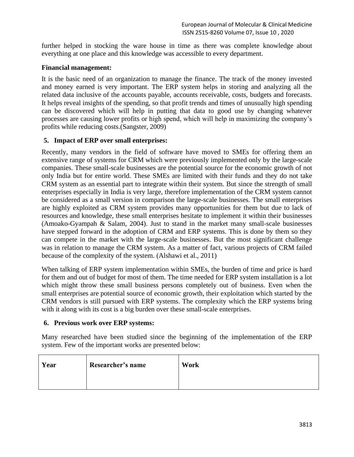further helped in stocking the ware house in time as there was complete knowledge about everything at one place and this knowledge was accessible to every department.

## **Financial management:**

It is the basic need of an organization to manage the finance. The track of the money invested and money earned is very important. The ERP system helps in storing and analyzing all the related data inclusive of the accounts payable, accounts receivable, costs, budgets and forecasts. It helps reveal insights of the spending, so that profit trends and times of unusually high spending can be discovered which will help in putting that data to good use by changing whatever processes are causing lower profits or high spend, which will help in maximizing the company's profits while reducing costs.(Sangster, 2009)

#### **5. Impact of ERP over small enterprises:**

Recently, many vendors in the field of software have moved to SMEs for offering them an extensive range of systems for CRM which were previously implemented only by the large-scale companies. These small-scale businesses are the potential source for the economic growth of not only India but for entire world. These SMEs are limited with their funds and they do not take CRM system as an essential part to integrate within their system. But since the strength of small enterprises especially in India is very large, therefore implementation of the CRM system cannot be considered as a small version in comparison the large-scale businesses. The small enterprises are highly exploited as CRM system provides many opportunities for them but due to lack of resources and knowledge, these small enterprises hesitate to implement it within their businesses (Amoako-Gyampah & Salam, 2004). Just to stand in the market many small-scale businesses have stepped forward in the adoption of CRM and ERP systems. This is done by them so they can compete in the market with the large-scale businesses. But the most significant challenge was in relation to manage the CRM system. As a matter of fact, various projects of CRM failed because of the complexity of the system. (Alshawi et al., 2011)

When talking of ERP system implementation within SMEs, the burden of time and price is hard for them and out of budget for most of them. The time needed for ERP system installation is a lot which might throw these small business persons completely out of business. Even when the small enterprises are potential source of economic growth, their exploitation which started by the CRM vendors is still pursued with ERP systems. The complexity which the ERP systems bring with it along with its cost is a big burden over these small-scale enterprises.

## **6. Previous work over ERP systems:**

Many researched have been studied since the beginning of the implementation of the ERP system. Few of the important works are presented below:

| Year | Researcher's name | Work |
|------|-------------------|------|
|      |                   |      |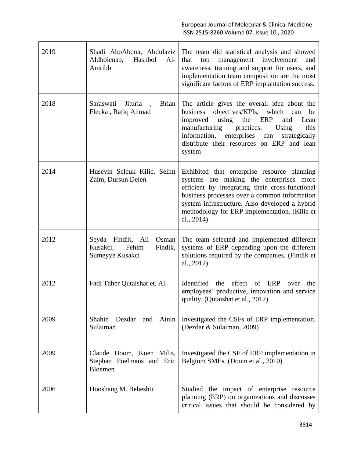| 2019 | Shadi AboAbdoa, Abdulaziz<br>Aldhoienab, Hashbol<br>$Al-$<br>Amribb           | The team did statistical analysis and showed<br>that<br>top<br>management involvement<br>and<br>awareness, training and support for users, and<br>implementation team composition are the most<br>significant factors of ERP implantation success.                                                         |
|------|-------------------------------------------------------------------------------|------------------------------------------------------------------------------------------------------------------------------------------------------------------------------------------------------------------------------------------------------------------------------------------------------------|
| 2018 | Saraswati<br>Jituria<br><b>Brian</b><br>Flecka, Rafiq Ahmad                   | The article gives the overall idea about the<br>objectives/KPIs, which can<br>business<br>be<br>improved using the ERP<br>Lean<br>and<br>practices.<br>this<br>manufacturing<br>Using<br>information, enterprises<br>can<br>strategically<br>distribute their resources on ERP and lean<br>system          |
| 2014 | Huseyin Selcuk Kilic, Selim<br>Zaim, Dursun Delen                             | Exhibited that enterprise resource planning<br>systems are making the enterprises more<br>efficient by integrating their cross-functional<br>business processes over a common information<br>system infrastructure. Also developed a hybrid<br>methodology for ERP implementation. (Kilic et<br>al., 2014) |
| 2012 | Seyda Findik, Ali<br>Osman<br>Kusakci,<br>Fehim<br>Findik,<br>Sumeyye Kusakci | The team selected and implemented different<br>systems of ERP depending upon the different<br>solutions required by the companies. (Findik et<br>al., 2012)                                                                                                                                                |
| 2012 | Fadi Taher Qutaishat et. Al.                                                  | Identified the<br>effect of ERP<br>the<br>over<br>employees' productive, innovation and service<br>quality. (Qutaishat et al., 2012)                                                                                                                                                                       |
| 2009 | Shahin<br>Dezdar<br>and<br>Ainin<br>Sulaiman                                  | Investigated the CSFs of ERP implementation.<br>(Dezdar & Sulaiman, 2009)                                                                                                                                                                                                                                  |
| 2009 | Claude Doom, Koen Milis,<br>Stephan Poelmans and Eric<br>Bloemen              | Investigated the CSF of ERP implementation in<br>Belgium SMEs. (Doom et al., 2010)                                                                                                                                                                                                                         |
| 2006 | Hooshang M. Beheshti                                                          | Studied the impact of enterprise resource<br>planning (ERP) on organizations and discusses<br>critical issues that should be considered by                                                                                                                                                                 |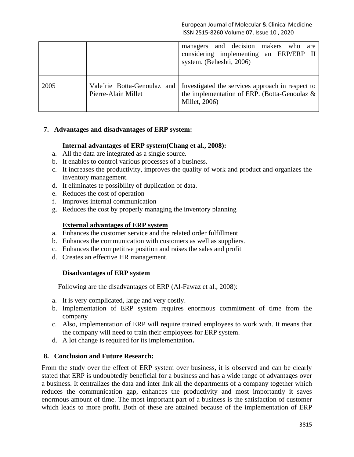|      |                     | managers and decision makers who<br>are<br>considering implementing an ERP/ERP II<br>system. (Beheshti, 2006)                                 |
|------|---------------------|-----------------------------------------------------------------------------------------------------------------------------------------------|
| 2005 | Pierre-Alain Millet | Vale rie Botta-Genoulaz and Investigated the services approach in respect to<br>the implementation of ERP. (Botta-Genoulaz &<br>Millet, 2006) |

## **7. Advantages and disadvantages of ERP system:**

#### **Internal advantages of ERP system(Chang et al., 2008):**

- a. All the data are integrated as a single source.
- b. It enables to control various processes of a business.
- c. It increases the productivity, improves the quality of work and product and organizes the inventory management.
- d. It eliminates te possibility of duplication of data.
- e. Reduces the cost of operation
- f. Improves internal communication
- g. Reduces the cost by properly managing the inventory planning

#### **External advantages of ERP system**

- a. Enhances the customer service and the related order fulfillment
- b. Enhances the communication with customers as well as suppliers.
- c. Enhances the competitive position and raises the sales and profit
- d. Creates an effective HR management.

#### **Disadvantages of ERP system**

Following are the disadvantages of ERP (Al-Fawaz et al., 2008):

- a. It is very complicated, large and very costly.
- b. Implementation of ERP system requires enormous commitment of time from the company
- c. Also, implementation of ERP will require trained employees to work with. It means that the company will need to train their employees for ERP system.
- d. A lot change is required for its implementation**.**

#### **8. Conclusion and Future Research:**

From the study over the effect of ERP system over business, it is observed and can be clearly stated that ERP is undoubtedly beneficial for a business and has a wide range of advantages over a business. It centralizes the data and inter link all the departments of a company together which reduces the communication gap, enhances the productivity and most importantly it saves enormous amount of time. The most important part of a business is the satisfaction of customer which leads to more profit. Both of these are attained because of the implementation of ERP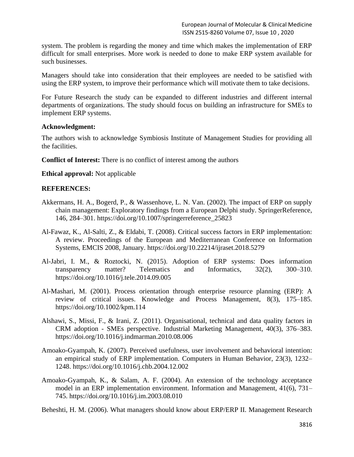system. The problem is regarding the money and time which makes the implementation of ERP difficult for small enterprises. More work is needed to done to make ERP system available for such businesses.

Managers should take into consideration that their employees are needed to be satisfied with using the ERP system, to improve their performance which will motivate them to take decisions.

For Future Research the study can be expanded to different industries and different internal departments of organizations. The study should focus on building an infrastructure for SMEs to implement ERP systems.

#### **Acknowledgment:**

The authors wish to acknowledge Symbiosis Institute of Management Studies for providing all the facilities.

**Conflict of Interest:** There is no conflict of interest among the authors

**Ethical approval:** Not applicable

#### **REFERENCES:**

- Akkermans, H. A., Bogerd, P., & Wassenhove, L. N. Van. (2002). The impact of ERP on supply chain management: Exploratory findings from a European Delphi study. SpringerReference, 146, 284–301. https://doi.org/10.1007/springerreference\_25823
- Al-Fawaz, K., Al-Salti, Z., & Eldabi, T. (2008). Critical success factors in ERP implementation: A review. Proceedings of the European and Mediterranean Conference on Information Systems, EMCIS 2008, January. https://doi.org/10.22214/ijraset.2018.5279
- Al-Jabri, I. M., & Roztocki, N. (2015). Adoption of ERP systems: Does information transparency matter? Telematics and Informatics, 32(2), 300–310. https://doi.org/10.1016/j.tele.2014.09.005
- Al-Mashari, M. (2001). Process orientation through enterprise resource planning (ERP): A review of critical issues. Knowledge and Process Management, 8(3), 175–185. https://doi.org/10.1002/kpm.114
- Alshawi, S., Missi, F., & Irani, Z. (2011). Organisational, technical and data quality factors in CRM adoption - SMEs perspective. Industrial Marketing Management, 40(3), 376–383. https://doi.org/10.1016/j.indmarman.2010.08.006
- Amoako-Gyampah, K. (2007). Perceived usefulness, user involvement and behavioral intention: an empirical study of ERP implementation. Computers in Human Behavior, 23(3), 1232– 1248. https://doi.org/10.1016/j.chb.2004.12.002
- Amoako-Gyampah, K., & Salam, A. F. (2004). An extension of the technology acceptance model in an ERP implementation environment. Information and Management, 41(6), 731– 745. https://doi.org/10.1016/j.im.2003.08.010

Beheshti, H. M. (2006). What managers should know about ERP/ERP II. Management Research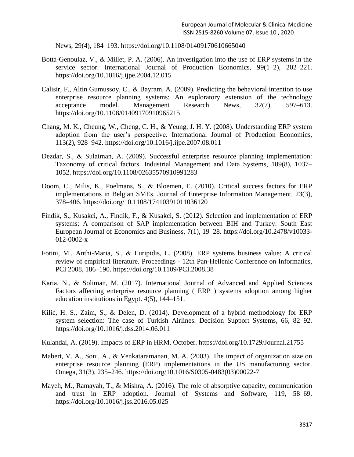News, 29(4), 184–193. https://doi.org/10.1108/01409170610665040

- Botta-Genoulaz, V., & Millet, P. A. (2006). An investigation into the use of ERP systems in the service sector. International Journal of Production Economics, 99(1–2), 202–221. https://doi.org/10.1016/j.ijpe.2004.12.015
- Calisir, F., Altin Gumussoy, C., & Bayram, A. (2009). Predicting the behavioral intention to use enterprise resource planning systems: An exploratory extension of the technology acceptance model. Management Research News, 32(7), 597–613. https://doi.org/10.1108/01409170910965215
- Chang, M. K., Cheung, W., Cheng, C. H., & Yeung, J. H. Y. (2008). Understanding ERP system adoption from the user's perspective. International Journal of Production Economics, 113(2), 928–942. https://doi.org/10.1016/j.ijpe.2007.08.011
- Dezdar, S., & Sulaiman, A. (2009). Successful enterprise resource planning implementation: Taxonomy of critical factors. Industrial Management and Data Systems, 109(8), 1037– 1052. https://doi.org/10.1108/02635570910991283
- Doom, C., Milis, K., Poelmans, S., & Bloemen, E. (2010). Critical success factors for ERP implementations in Belgian SMEs. Journal of Enterprise Information Management, 23(3), 378–406. https://doi.org/10.1108/17410391011036120
- Findik, S., Kusakci, A., Findik, F., & Kusakci, S. (2012). Selection and implementation of ERP systems: A comparison of SAP implementation between BIH and Turkey. South East European Journal of Economics and Business, 7(1), 19–28. https://doi.org/10.2478/v10033- 012-0002-x
- Fotini, M., Anthi-Maria, S., & Euripidis, L. (2008). ERP systems business value: A critical review of empirical literature. Proceedings - 12th Pan-Hellenic Conference on Informatics, PCI 2008, 186–190. https://doi.org/10.1109/PCI.2008.38
- Karia, N., & Soliman, M. (2017). International Journal of Advanced and Applied Sciences Factors affecting enterprise resource planning ( ERP ) systems adoption among higher education institutions in Egypt. 4(5), 144–151.
- Kilic, H. S., Zaim, S., & Delen, D. (2014). Development of a hybrid methodology for ERP system selection: The case of Turkish Airlines. Decision Support Systems, 66, 82–92. https://doi.org/10.1016/j.dss.2014.06.011
- Kulandai, A. (2019). Impacts of ERP in HRM. October. https://doi.org/10.1729/Journal.21755
- Mabert, V. A., Soni, A., & Venkataramanan, M. A. (2003). The impact of organization size on enterprise resource planning (ERP) implementations in the US manufacturing sector. Omega, 31(3), 235–246. https://doi.org/10.1016/S0305-0483(03)00022-7
- Mayeh, M., Ramayah, T., & Mishra, A. (2016). The role of absorptive capacity, communication and trust in ERP adoption. Journal of Systems and Software, 119, 58–69. https://doi.org/10.1016/j.jss.2016.05.025